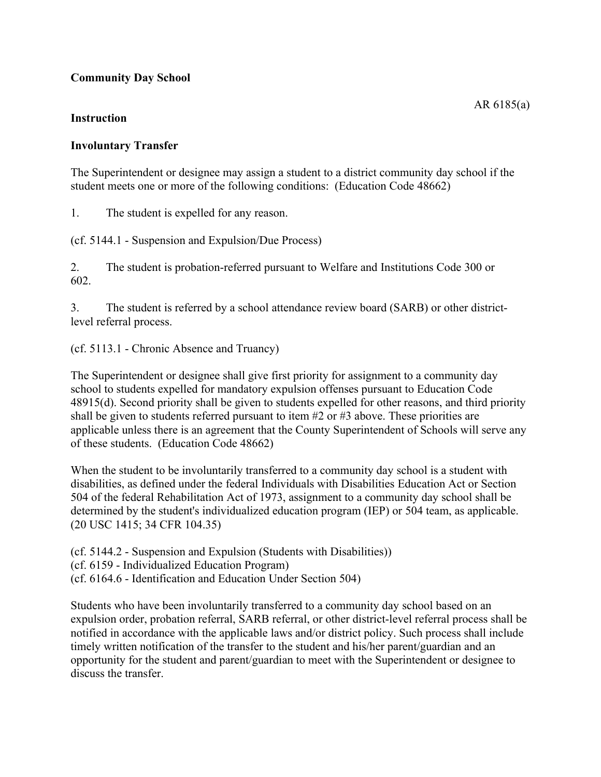## **Community Day School**

## **Instruction**

## **Involuntary Transfer**

The Superintendent or designee may assign a student to a district community day school if the student meets one or more of the following conditions: (Education Code 48662)

1. The student is expelled for any reason.

(cf. 5144.1 - Suspension and Expulsion/Due Process)

2. The student is probation-referred pursuant to Welfare and Institutions Code 300 or 602.

3. The student is referred by a school attendance review board (SARB) or other districtlevel referral process.

(cf. 5113.1 - Chronic Absence and Truancy)

The Superintendent or designee shall give first priority for assignment to a community day school to students expelled for mandatory expulsion offenses pursuant to Education Code 48915(d). Second priority shall be given to students expelled for other reasons, and third priority shall be given to students referred pursuant to item #2 or #3 above. These priorities are applicable unless there is an agreement that the County Superintendent of Schools will serve any of these students. (Education Code 48662)

When the student to be involuntarily transferred to a community day school is a student with disabilities, as defined under the federal Individuals with Disabilities Education Act or Section 504 of the federal Rehabilitation Act of 1973, assignment to a community day school shall be determined by the student's individualized education program (IEP) or 504 team, as applicable. (20 USC 1415; 34 CFR 104.35)

(cf. 5144.2 - Suspension and Expulsion (Students with Disabilities))

(cf. 6159 - Individualized Education Program)

(cf. 6164.6 - Identification and Education Under Section 504)

Students who have been involuntarily transferred to a community day school based on an expulsion order, probation referral, SARB referral, or other district-level referral process shall be notified in accordance with the applicable laws and/or district policy. Such process shall include timely written notification of the transfer to the student and his/her parent/guardian and an opportunity for the student and parent/guardian to meet with the Superintendent or designee to discuss the transfer.